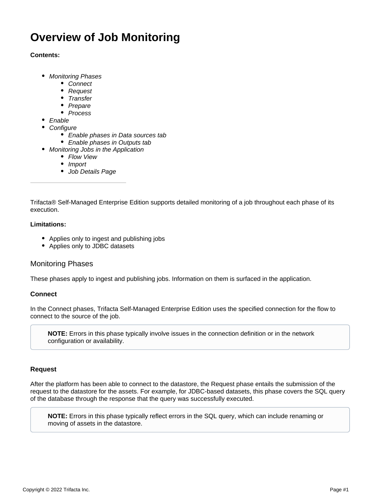# **Overview of Job Monitoring**

## **Contents:**

- [Monitoring Phases](#page-0-0)
	- [Connect](#page-0-1)
	- [Request](#page-0-2)
	- [Transfer](#page-1-0)
	- [Prepare](#page-1-1)
	- [Process](#page-1-2)
- [Enable](#page-1-3)
- **[Configure](#page-1-4)** 
	- [Enable phases in Data sources tab](#page-1-5)
	- [Enable phases in Outputs tab](#page-2-0)
- [Monitoring Jobs in the Application](#page-2-1)
	- [Flow View](#page-2-2)
	- [Import](#page-2-3)
	- [Job Details Page](#page-2-4)

Trifacta® Self-Managed Enterprise Edition supports detailed monitoring of a job throughout each phase of its execution.

### **Limitations:**

- Applies only to ingest and publishing jobs
- Applies only to JDBC datasets

# <span id="page-0-0"></span>Monitoring Phases

These phases apply to ingest and publishing jobs. Information on them is surfaced in the application.

## <span id="page-0-1"></span>**Connect**

In the Connect phases, Trifacta Self-Managed Enterprise Edition uses the specified connection for the flow to connect to the source of the job.

**NOTE:** Errors in this phase typically involve issues in the connection definition or in the network configuration or availability.

## <span id="page-0-2"></span>**Request**

After the platform has been able to connect to the datastore, the Request phase entails the submission of the request to the datastore for the assets. For example, for JDBC-based datasets, this phase covers the SQL query of the database through the response that the query was successfully executed.

**NOTE:** Errors in this phase typically reflect errors in the SQL query, which can include renaming or moving of assets in the datastore.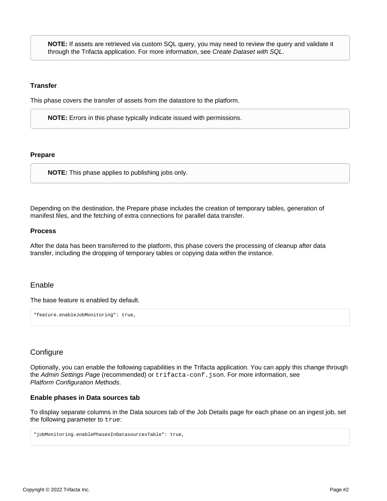**NOTE:** If assets are retrieved via custom SQL query, you may need to review the query and validate it through the Trifacta application. For more information, see [Create Dataset with SQL](https://docs.trifacta.com/display/r076/Create+Dataset+with+SQL).

#### <span id="page-1-0"></span>**Transfer**

This phase covers the transfer of assets from the datastore to the platform.

**NOTE:** Errors in this phase typically indicate issued with permissions.

### <span id="page-1-1"></span>**Prepare**

**NOTE:** This phase applies to publishing jobs only.

Depending on the destination, the Prepare phase includes the creation of temporary tables, generation of manifest files, and the fetching of extra connections for parallel data transfer.

#### <span id="page-1-2"></span>**Process**

After the data has been transferred to the platform, this phase covers the processing of cleanup after data transfer, including the dropping of temporary tables or copying data within the instance.

## <span id="page-1-3"></span>Enable

The base feature is enabled by default.

"feature.enableJobMonitoring": true,

# <span id="page-1-4"></span>**Configure**

Optionally, you can enable the following capabilities in the Trifacta application. You can apply this change through the [Admin Settings Page](https://docs.trifacta.com/display/r076/Admin+Settings+Page) (recommended) or trifacta-conf.json. For more information, see [Platform Configuration Methods](https://docs.trifacta.com/display/r076/Platform+Configuration+Methods).

#### <span id="page-1-5"></span>**Enable phases in Data sources tab**

To display separate columns in the Data sources tab of the Job Details page for each phase on an ingest job, set the following parameter to true:

```
"jobMonitoring.enablePhasesInDatasourcesTable": true,
```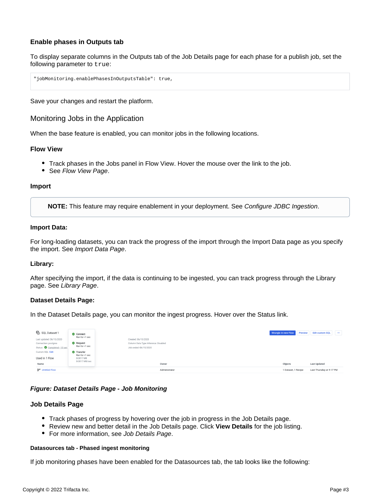# <span id="page-2-0"></span>**Enable phases in Outputs tab**

To display separate columns in the Outputs tab of the Job Details page for each phase for a publish job, set the following parameter to true:

"jobMonitoring.enablePhasesInOutputsTable": true,

Save your changes and restart the platform.

<span id="page-2-1"></span>Monitoring Jobs in the Application

When the base feature is enabled, you can monitor jobs in the following locations.

#### <span id="page-2-2"></span>**Flow View**

- Track phases in the Jobs panel in Flow View. Hover the mouse over the link to the job.
- See [Flow View Page](https://docs.trifacta.com/display/r076/Flow+View+Page).

#### <span id="page-2-3"></span>**Import**

**NOTE:** This feature may require enablement in your deployment. See [Configure JDBC Ingestion](https://docs.trifacta.com/display/r076/Configure+JDBC+Ingestion).

#### **Import Data:**

For long-loading datasets, you can track the progress of the import through the Import Data page as you specify the import. See [Import Data Page](https://docs.trifacta.com/display/r076/Import+Data+Page).

### **Library:**

After specifying the import, if the data is continuing to be ingested, you can track progress through the Library page. See [Library Page](https://docs.trifacta.com/display/r076/Library+Page).

#### **Dataset Details Page:**

In the Dataset Details page, you can monitor the ingest progress. Hover over the Status link.

| ြော SQL Dataset 1              | Connect                             |                                      | Wrangle in new Flow | Preview | <b>Edit custom SQL</b>   | $\cdots$ |
|--------------------------------|-------------------------------------|--------------------------------------|---------------------|---------|--------------------------|----------|
| Last updated: 06/15/2020       | Ran for <1 sec                      | Created: 06/15/2020                  |                     |         |                          |          |
| Connection: postgres           | Request                             | Column Data Type Inference: Disabled |                     |         |                          |          |
| Status: Completed . 10 sec     | Ran for <1 sec                      | Job ended: 06/15/2020                |                     |         |                          |          |
| Custom SQL Edit                | <b>O</b> Transfer<br>Ran for <1 sec |                                      |                     |         |                          |          |
| Used in 1 Flow                 | 0.0017 MB                           |                                      |                     |         |                          |          |
| Name                           | 0.0017 MB/sec                       | Owner                                | Objects             |         | <b>Last Updated</b>      |          |
| a <sub>7</sub> ° Untitled Flow |                                     | Administrator                        | 1 Dataset, 1 Recipe |         | Last Thursday at 9:17 PM |          |

#### **Figure: Dataset Details Page - Job Monitoring**

#### <span id="page-2-4"></span>**Job Details Page**

- Track phases of progress by hovering over the job in progress in the Job Details page.
- Review new and better detail in the Job Details page. Click **View Details** for the job listing.
- For more information, see [Job Details Page](https://docs.trifacta.com/display/r076/Job+Details+Page).

#### **Datasources tab - Phased ingest monitoring**

If job monitoring phases have been enabled for the Datasources tab, the tab looks like the following: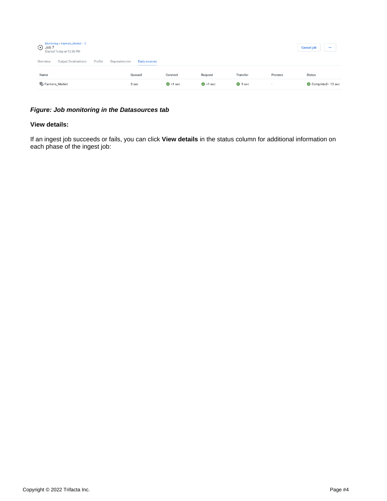| Monitoring > Farmers_Market $-2$<br>① Job 7<br>Started Today at 12:36 PM |                              |                |                |          |         | <b>Cancel job</b><br>              |
|--------------------------------------------------------------------------|------------------------------|----------------|----------------|----------|---------|------------------------------------|
| Profile<br><b>Output Destinations</b><br>Overview                        | Dependencies<br>Data sources |                |                |          |         |                                    |
| Name                                                                     | Queued                       | Connect        | Request        | Transfer | Process | <b>Status</b>                      |
| ලි Farmers_Market                                                        | 3 sec                        | $\odot$ <1 sec | $\odot$ <1 sec | $9$ sec  | $\,$    | $\bullet$ Completed $\cdot$ 13 sec |

# **Figure: Job monitoring in the Datasources tab**

#### **View details:**

If an ingest job succeeds or fails, you can click **View details** in the status column for additional information on each phase of the ingest job: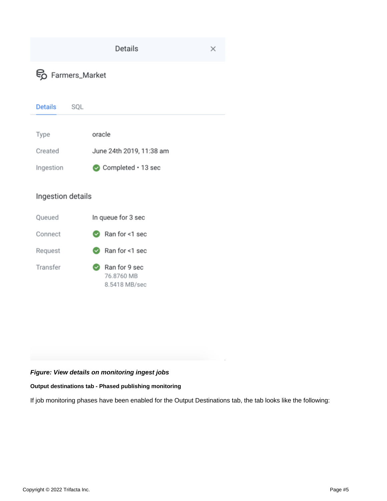| <b>Details</b><br>×   |                                              |  |  |  |  |  |  |
|-----------------------|----------------------------------------------|--|--|--|--|--|--|
|                       | Fo Farmers_Market                            |  |  |  |  |  |  |
| <b>Details</b><br>SQL |                                              |  |  |  |  |  |  |
| Type                  | oracle                                       |  |  |  |  |  |  |
| Created               | June 24th 2019, 11:38 am                     |  |  |  |  |  |  |
| Ingestion             | $\bullet$ Completed $\cdot$ 13 sec           |  |  |  |  |  |  |
| Ingestion details     |                                              |  |  |  |  |  |  |
| Queued                | In queue for 3 sec                           |  |  |  |  |  |  |
| Connect               | Ran for <1 sec                               |  |  |  |  |  |  |
| Request               | Ran for <1 sec                               |  |  |  |  |  |  |
| Transfer              | Ran for 9 sec<br>76.8760 MB<br>8.5418 MB/sec |  |  |  |  |  |  |

# **Figure: View details on monitoring ingest jobs**

# **Output destinations tab - Phased publishing monitoring**

If job monitoring phases have been enabled for the Output Destinations tab, the tab looks like the following: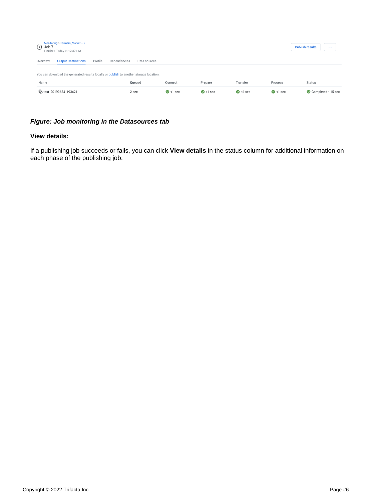| Monitoring > Farmers_Market - $2$<br>$(D)$ Job 7<br>Finished Today at 12:37 PM         |                                       |                              |                |                  |                | <b>Publish results</b><br>$$ |                                    |
|----------------------------------------------------------------------------------------|---------------------------------------|------------------------------|----------------|------------------|----------------|------------------------------|------------------------------------|
| Overview                                                                               | Profile<br><b>Output Destinations</b> | Dependencies<br>Data sources |                |                  |                |                              |                                    |
| You can download the generated results locally or publish to another storage location. |                                       |                              |                |                  |                |                              |                                    |
| Name                                                                                   |                                       | Queued                       | Connect        | Prepare          | Transfer       | Process                      | <b>Status</b>                      |
|                                                                                        | ඳි test_20190624_193621               | 2 sec                        | $\odot$ <1 sec | $\bullet$ <1 sec | $\odot$ <1 sec | $\odot$ <1 sec               | $\bullet$ Completed $\cdot$ 15 sec |

# **Figure: Job monitoring in the Datasources tab**

## **View details:**

If a publishing job succeeds or fails, you can click **View details** in the status column for additional information on each phase of the publishing job: